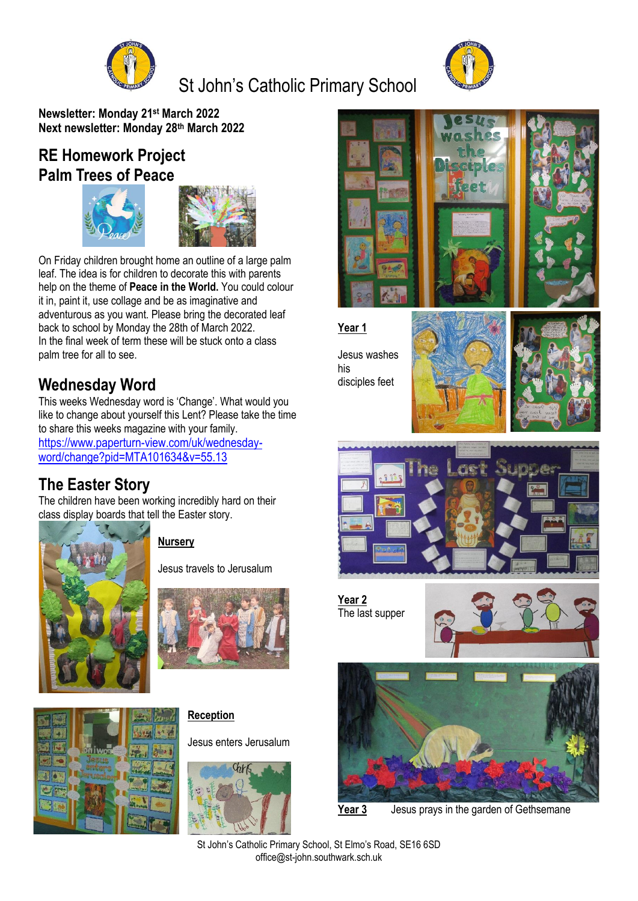

# St John's Catholic Primary School



**Newsletter: Monday 21st March 2022 Next newsletter: Monday 28th March 2022**

## **RE Homework Project Palm Trees of Peace**





On Friday children brought home an outline of a large palm leaf. The idea is for children to decorate this with parents help on the theme of **Peace in the World.** You could colour it in, paint it, use collage and be as imaginative and adventurous as you want. Please bring the decorated leaf back to school by Monday the 28th of March 2022. In the final week of term these will be stuck onto a class palm tree for all to see.

## **Wednesday Word**

This weeks Wednesday word is 'Change'. What would you like to change about yourself this Lent? Please take the time to share this weeks magazine with your family. [https://www.paperturn-view.com/uk/wednesday](https://www.paperturn-view.com/uk/wednesday-word/change?pid=MTA101634&v=55.13)[word/change?pid=MTA101634&v=55.13](https://www.paperturn-view.com/uk/wednesday-word/change?pid=MTA101634&v=55.13)

### **The Easter Story**

The children have been working incredibly hard on their class display boards that tell the Easter story.



**Nursery**

Jesus travels to Jerusalum





**Reception**

Jesus enters Jerusalum





**Year 1**

Jesus washes his disciples feet





**Year 2** The last supper





**Year 3** Jesus prays in the garden of Gethsemane

St John's Catholic Primary School, St Elmo's Road, SE16 6SD office@st-john.southwark.sch.uk